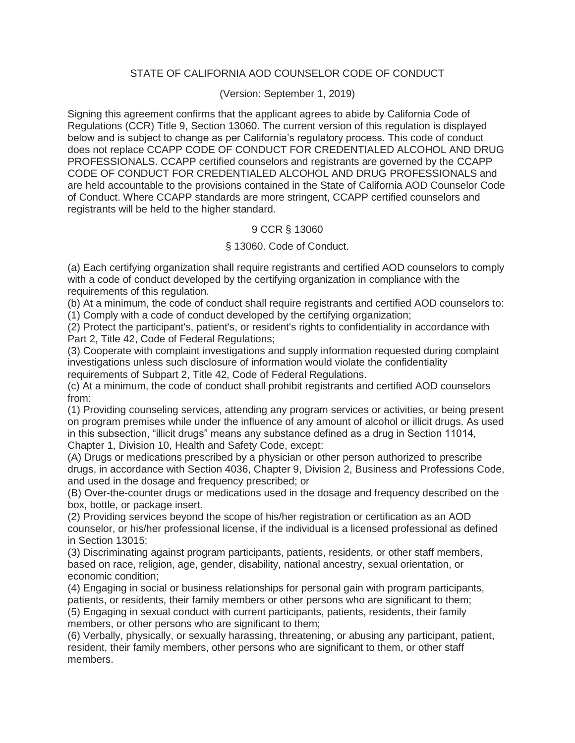### STATE OF CALIFORNIA AOD COUNSELOR CODE OF CONDUCT

#### (Version: September 1, 2019)

Signing this agreement confirms that the applicant agrees to abide by California Code of Regulations (CCR) Title 9, Section 13060. The current version of this regulation is displayed below and is subject to change as per California's regulatory process. This code of conduct does not replace CCAPP CODE OF CONDUCT FOR CREDENTIALED ALCOHOL AND DRUG PROFESSIONALS. CCAPP certified counselors and registrants are governed by the CCAPP CODE OF CONDUCT FOR CREDENTIALED ALCOHOL AND DRUG PROFESSIONALS and are held accountable to the provisions contained in the State of California AOD Counselor Code of Conduct. Where CCAPP standards are more stringent, CCAPP certified counselors and registrants will be held to the higher standard.

### 9 CCR § 13060

### § 13060. Code of Conduct.

(a) Each certifying organization shall require registrants and certified AOD counselors to comply with a code of conduct developed by the certifying organization in compliance with the requirements of this regulation.

(b) At a minimum, the code of conduct shall require registrants and certified AOD counselors to:

(1) Comply with a code of conduct developed by the certifying organization;

(2) Protect the participant's, patient's, or resident's rights to confidentiality in accordance with Part 2, Title 42, Code of Federal Regulations;

(3) Cooperate with complaint investigations and supply information requested during complaint investigations unless such disclosure of information would violate the confidentiality requirements of Subpart 2, Title 42, Code of Federal Regulations.

(c) At a minimum, the code of conduct shall prohibit registrants and certified AOD counselors from:

(1) Providing counseling services, attending any program services or activities, or being present on program premises while under the influence of any amount of alcohol or illicit drugs. As used in this subsection, "illicit drugs" means any substance defined as a drug in Section 11014, Chapter 1, Division 10, Health and Safety Code, except:

(A) Drugs or medications prescribed by a physician or other person authorized to prescribe drugs, in accordance with Section 4036, Chapter 9, Division 2, Business and Professions Code, and used in the dosage and frequency prescribed; or

(B) Over-the-counter drugs or medications used in the dosage and frequency described on the box, bottle, or package insert.

(2) Providing services beyond the scope of his/her registration or certification as an AOD counselor, or his/her professional license, if the individual is a licensed professional as defined in Section 13015;

(3) Discriminating against program participants, patients, residents, or other staff members, based on race, religion, age, gender, disability, national ancestry, sexual orientation, or economic condition;

(4) Engaging in social or business relationships for personal gain with program participants, patients, or residents, their family members or other persons who are significant to them; (5) Engaging in sexual conduct with current participants, patients, residents, their family

members, or other persons who are significant to them;

(6) Verbally, physically, or sexually harassing, threatening, or abusing any participant, patient, resident, their family members, other persons who are significant to them, or other staff members.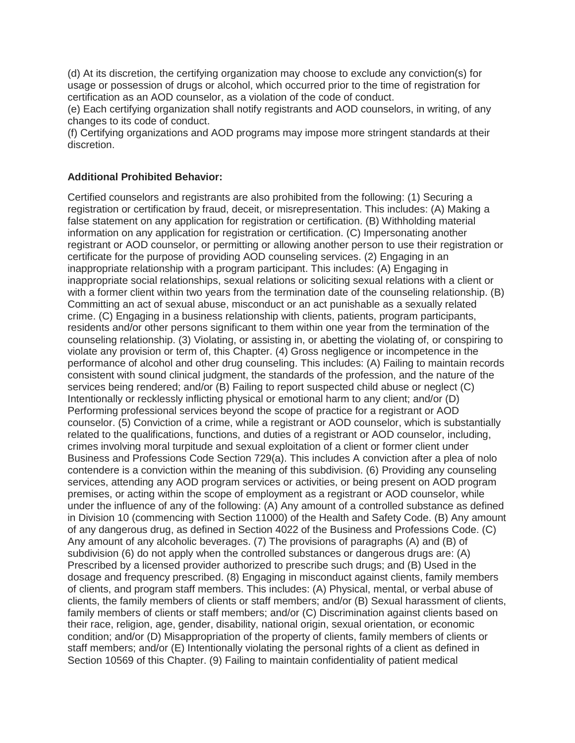(d) At its discretion, the certifying organization may choose to exclude any conviction(s) for usage or possession of drugs or alcohol, which occurred prior to the time of registration for certification as an AOD counselor, as a violation of the code of conduct.

(e) Each certifying organization shall notify registrants and AOD counselors, in writing, of any changes to its code of conduct.

(f) Certifying organizations and AOD programs may impose more stringent standards at their discretion.

#### **Additional Prohibited Behavior:**

Certified counselors and registrants are also prohibited from the following: (1) Securing a registration or certification by fraud, deceit, or misrepresentation. This includes: (A) Making a false statement on any application for registration or certification. (B) Withholding material information on any application for registration or certification. (C) Impersonating another registrant or AOD counselor, or permitting or allowing another person to use their registration or certificate for the purpose of providing AOD counseling services. (2) Engaging in an inappropriate relationship with a program participant. This includes: (A) Engaging in inappropriate social relationships, sexual relations or soliciting sexual relations with a client or with a former client within two years from the termination date of the counseling relationship. (B) Committing an act of sexual abuse, misconduct or an act punishable as a sexually related crime. (C) Engaging in a business relationship with clients, patients, program participants, residents and/or other persons significant to them within one year from the termination of the counseling relationship. (3) Violating, or assisting in, or abetting the violating of, or conspiring to violate any provision or term of, this Chapter. (4) Gross negligence or incompetence in the performance of alcohol and other drug counseling. This includes: (A) Failing to maintain records consistent with sound clinical judgment, the standards of the profession, and the nature of the services being rendered; and/or (B) Failing to report suspected child abuse or neglect (C) Intentionally or recklessly inflicting physical or emotional harm to any client; and/or (D) Performing professional services beyond the scope of practice for a registrant or AOD counselor. (5) Conviction of a crime, while a registrant or AOD counselor, which is substantially related to the qualifications, functions, and duties of a registrant or AOD counselor, including, crimes involving moral turpitude and sexual exploitation of a client or former client under Business and Professions Code Section 729(a). This includes A conviction after a plea of nolo contendere is a conviction within the meaning of this subdivision. (6) Providing any counseling services, attending any AOD program services or activities, or being present on AOD program premises, or acting within the scope of employment as a registrant or AOD counselor, while under the influence of any of the following: (A) Any amount of a controlled substance as defined in Division 10 (commencing with Section 11000) of the Health and Safety Code. (B) Any amount of any dangerous drug, as defined in Section 4022 of the Business and Professions Code. (C) Any amount of any alcoholic beverages. (7) The provisions of paragraphs (A) and (B) of subdivision (6) do not apply when the controlled substances or dangerous drugs are: (A) Prescribed by a licensed provider authorized to prescribe such drugs; and (B) Used in the dosage and frequency prescribed. (8) Engaging in misconduct against clients, family members of clients, and program staff members. This includes: (A) Physical, mental, or verbal abuse of clients, the family members of clients or staff members; and/or (B) Sexual harassment of clients, family members of clients or staff members; and/or (C) Discrimination against clients based on their race, religion, age, gender, disability, national origin, sexual orientation, or economic condition; and/or (D) Misappropriation of the property of clients, family members of clients or staff members; and/or (E) Intentionally violating the personal rights of a client as defined in Section 10569 of this Chapter. (9) Failing to maintain confidentiality of patient medical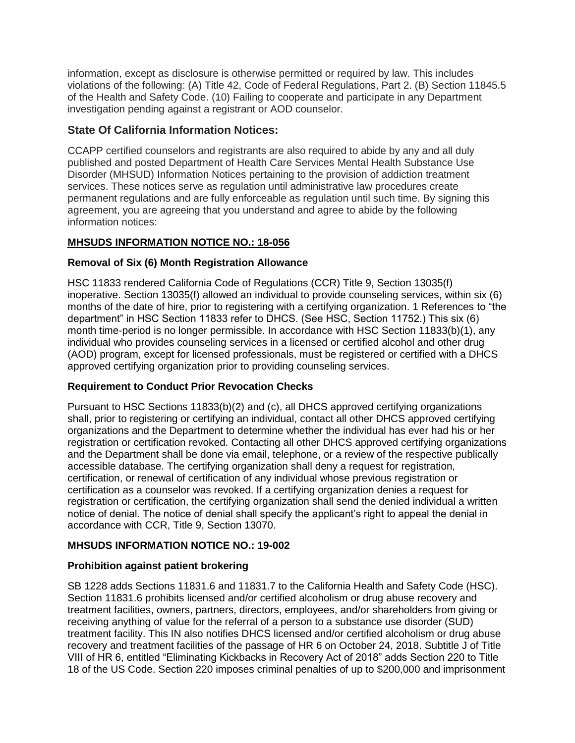information, except as disclosure is otherwise permitted or required by law. This includes violations of the following: (A) Title 42, Code of Federal Regulations, Part 2. (B) Section 11845.5 of the Health and Safety Code. (10) Failing to cooperate and participate in any Department investigation pending against a registrant or AOD counselor.

# **State Of California Information Notices:**

CCAPP certified counselors and registrants are also required to abide by any and all duly published and posted Department of Health Care Services Mental Health Substance Use Disorder (MHSUD) Information Notices pertaining to the provision of addiction treatment services. These notices serve as regulation until administrative law procedures create permanent regulations and are fully enforceable as regulation until such time. By signing this agreement, you are agreeing that you understand and agree to abide by the following information notices:

# **MHSUDS INFORMATION NOTICE NO.: 18-056**

# **Removal of Six (6) Month Registration Allowance**

HSC 11833 rendered California Code of Regulations (CCR) Title 9, Section 13035(f) inoperative. Section 13035(f) allowed an individual to provide counseling services, within six (6) months of the date of hire, prior to registering with a certifying organization. 1 References to "the department" in HSC Section 11833 refer to DHCS. (See HSC, Section 11752.) This six (6) month time-period is no longer permissible. In accordance with HSC Section 11833(b)(1), any individual who provides counseling services in a licensed or certified alcohol and other drug (AOD) program, except for licensed professionals, must be registered or certified with a DHCS approved certifying organization prior to providing counseling services.

# **Requirement to Conduct Prior Revocation Checks**

Pursuant to HSC Sections 11833(b)(2) and (c), all DHCS approved certifying organizations shall, prior to registering or certifying an individual, contact all other DHCS approved certifying organizations and the Department to determine whether the individual has ever had his or her registration or certification revoked. Contacting all other DHCS approved certifying organizations and the Department shall be done via email, telephone, or a review of the respective publically accessible database. The certifying organization shall deny a request for registration, certification, or renewal of certification of any individual whose previous registration or certification as a counselor was revoked. If a certifying organization denies a request for registration or certification, the certifying organization shall send the denied individual a written notice of denial. The notice of denial shall specify the applicant's right to appeal the denial in accordance with CCR, Title 9, Section 13070.

# **MHSUDS INFORMATION NOTICE NO.: 19-002**

#### **Prohibition against patient brokering**

SB 1228 adds Sections 11831.6 and 11831.7 to the California Health and Safety Code (HSC). Section 11831.6 prohibits licensed and/or certified alcoholism or drug abuse recovery and treatment facilities, owners, partners, directors, employees, and/or shareholders from giving or receiving anything of value for the referral of a person to a substance use disorder (SUD) treatment facility. This IN also notifies DHCS licensed and/or certified alcoholism or drug abuse recovery and treatment facilities of the passage of HR 6 on October 24, 2018. Subtitle J of Title VIII of HR 6, entitled "Eliminating Kickbacks in Recovery Act of 2018" adds Section 220 to Title 18 of the US Code. Section 220 imposes criminal penalties of up to \$200,000 and imprisonment